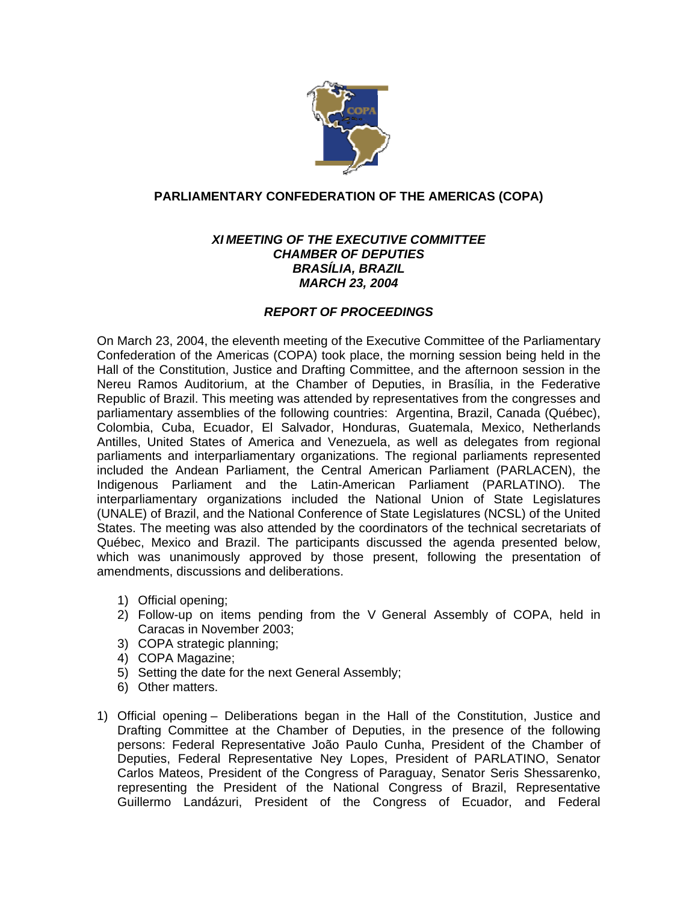

## **PARLIAMENTARY CONFEDERATION OF THE AMERICAS (COPA)**

## *XI MEETING OF THE EXECUTIVE COMMITTEE CHAMBER OF DEPUTIES BRASÍLIA, BRAZIL MARCH 23, 2004*

## *REPORT OF PROCEEDINGS*

On March 23, 2004, the eleventh meeting of the Executive Committee of the Parliamentary Confederation of the Americas (COPA) took place, the morning session being held in the Hall of the Constitution, Justice and Drafting Committee, and the afternoon session in the Nereu Ramos Auditorium, at the Chamber of Deputies, in Brasília, in the Federative Republic of Brazil. This meeting was attended by representatives from the congresses and parliamentary assemblies of the following countries: Argentina, Brazil, Canada (Québec), Colombia, Cuba, Ecuador, El Salvador, Honduras, Guatemala, Mexico, Netherlands Antilles, United States of America and Venezuela, as well as delegates from regional parliaments and interparliamentary organizations. The regional parliaments represented included the Andean Parliament, the Central American Parliament (PARLACEN), the Indigenous Parliament and the Latin-American Parliament (PARLATINO). The interparliamentary organizations included the National Union of State Legislatures (UNALE) of Brazil, and the National Conference of State Legislatures (NCSL) of the United States. The meeting was also attended by the coordinators of the technical secretariats of Québec, Mexico and Brazil. The participants discussed the agenda presented below, which was unanimously approved by those present, following the presentation of amendments, discussions and deliberations.

- 1) Official opening;
- 2) Follow-up on items pending from the V General Assembly of COPA, held in Caracas in November 2003;
- 3) COPA strategic planning;
- 4) COPA Magazine;
- 5) Setting the date for the next General Assembly;
- 6) Other matters.
- 1) Official opening Deliberations began in the Hall of the Constitution, Justice and Drafting Committee at the Chamber of Deputies, in the presence of the following persons: Federal Representative João Paulo Cunha, President of the Chamber of Deputies, Federal Representative Ney Lopes, President of PARLATINO, Senator Carlos Mateos, President of the Congress of Paraguay, Senator Seris Shessarenko, representing the President of the National Congress of Brazil, Representative Guillermo Landázuri, President of the Congress of Ecuador, and Federal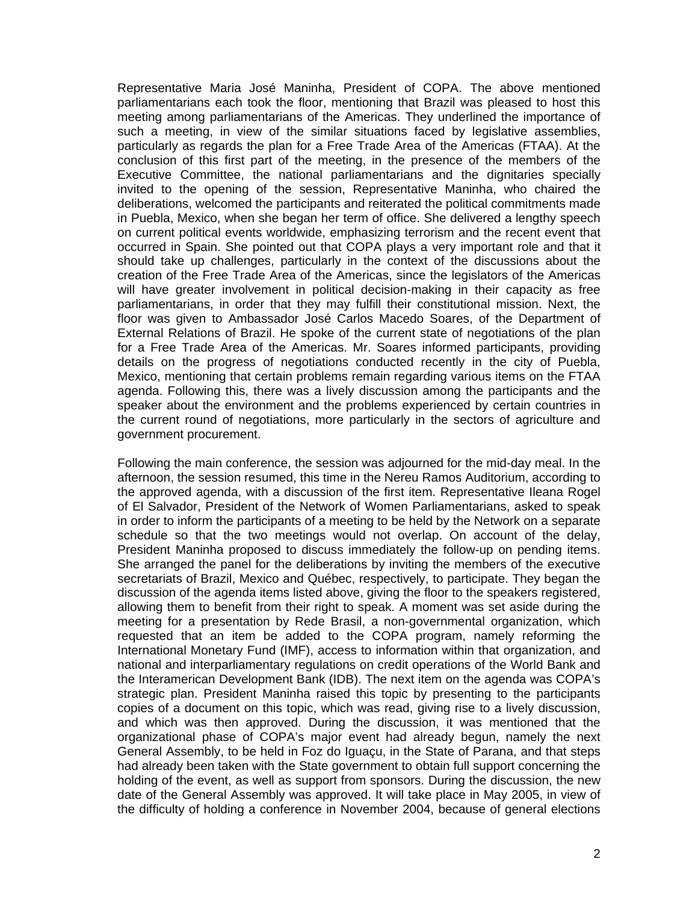Representative Maria José Maninha, President of COPA. The above mentioned parliamentarians each took the floor, mentioning that Brazil was pleased to host this meeting among parliamentarians of the Americas. They underlined the importance of such a meeting, in view of the similar situations faced by legislative assemblies, particularly as regards the plan for a Free Trade Area of the Americas (FTAA). At the conclusion of this first part of the meeting, in the presence of the members of the Executive Committee, the national parliamentarians and the dignitaries specially invited to the opening of the session, Representative Maninha, who chaired the deliberations, welcomed the participants and reiterated the political commitments made in Puebla, Mexico, when she began her term of office. She delivered a lengthy speech on current political events worldwide, emphasizing terrorism and the recent event that occurred in Spain. She pointed out that COPA plays a very important role and that it should take up challenges, particularly in the context of the discussions about the creation of the Free Trade Area of the Americas, since the legislators of the Americas will have greater involvement in political decision-making in their capacity as free parliamentarians, in order that they may fulfill their constitutional mission. Next, the floor was given to Ambassador José Carlos Macedo Soares, of the Department of External Relations of Brazil. He spoke of the current state of negotiations of the plan for a Free Trade Area of the Americas. Mr. Soares informed participants, providing details on the progress of negotiations conducted recently in the city of Puebla, Mexico, mentioning that certain problems remain regarding various items on the FTAA agenda. Following this, there was a lively discussion among the participants and the speaker about the environment and the problems experienced by certain countries in the current round of negotiations, more particularly in the sectors of agriculture and government procurement.

Following the main conference, the session was adjourned for the mid-day meal. In the afternoon, the session resumed, this time in the Nereu Ramos Auditorium, according to the approved agenda, with a discussion of the first item. Representative Ileana Rogel of El Salvador, President of the Network of Women Parliamentarians, asked to speak in order to inform the participants of a meeting to be held by the Network on a separate schedule so that the two meetings would not overlap. On account of the delay, President Maninha proposed to discuss immediately the follow-up on pending items. She arranged the panel for the deliberations by inviting the members of the executive secretariats of Brazil, Mexico and Québec, respectively, to participate. They began the discussion of the agenda items listed above, giving the floor to the speakers registered, allowing them to benefit from their right to speak. A moment was set aside during the meeting for a presentation by Rede Brasil, a non-governmental organization, which requested that an item be added to the COPA program, namely reforming the International Monetary Fund (IMF), access to information within that organization, and national and interparliamentary regulations on credit operations of the World Bank and the Interamerican Development Bank (IDB). The next item on the agenda was COPA's strategic plan. President Maninha raised this topic by presenting to the participants copies of a document on this topic, which was read, giving rise to a lively discussion, and which was then approved. During the discussion, it was mentioned that the organizational phase of COPA's major event had already begun, namely the next General Assembly, to be held in Foz do Iguaçu, in the State of Parana, and that steps had already been taken with the State government to obtain full support concerning the holding of the event, as well as support from sponsors. During the discussion, the new date of the General Assembly was approved. It will take place in May 2005, in view of the difficulty of holding a conference in November 2004, because of general elections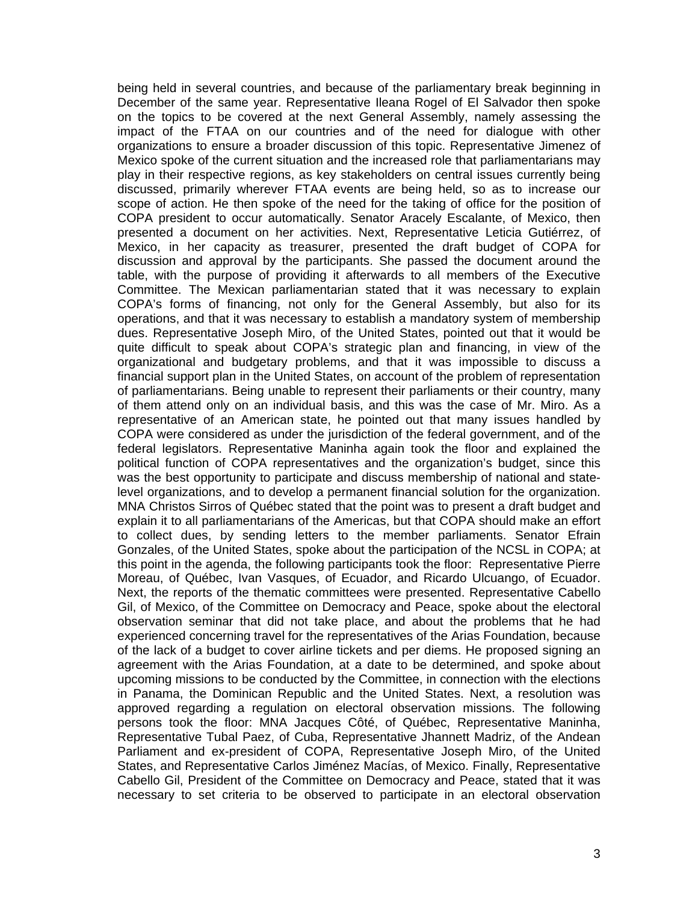being held in several countries, and because of the parliamentary break beginning in December of the same year. Representative Ileana Rogel of El Salvador then spoke on the topics to be covered at the next General Assembly, namely assessing the impact of the FTAA on our countries and of the need for dialogue with other organizations to ensure a broader discussion of this topic. Representative Jimenez of Mexico spoke of the current situation and the increased role that parliamentarians may play in their respective regions, as key stakeholders on central issues currently being discussed, primarily wherever FTAA events are being held, so as to increase our scope of action. He then spoke of the need for the taking of office for the position of COPA president to occur automatically. Senator Aracely Escalante, of Mexico, then presented a document on her activities. Next, Representative Leticia Gutiérrez, of Mexico, in her capacity as treasurer, presented the draft budget of COPA for discussion and approval by the participants. She passed the document around the table, with the purpose of providing it afterwards to all members of the Executive Committee. The Mexican parliamentarian stated that it was necessary to explain COPA's forms of financing, not only for the General Assembly, but also for its operations, and that it was necessary to establish a mandatory system of membership dues. Representative Joseph Miro, of the United States, pointed out that it would be quite difficult to speak about COPA's strategic plan and financing, in view of the organizational and budgetary problems, and that it was impossible to discuss a financial support plan in the United States, on account of the problem of representation of parliamentarians. Being unable to represent their parliaments or their country, many of them attend only on an individual basis, and this was the case of Mr. Miro. As a representative of an American state, he pointed out that many issues handled by COPA were considered as under the jurisdiction of the federal government, and of the federal legislators. Representative Maninha again took the floor and explained the political function of COPA representatives and the organization's budget, since this was the best opportunity to participate and discuss membership of national and statelevel organizations, and to develop a permanent financial solution for the organization. MNA Christos Sirros of Québec stated that the point was to present a draft budget and explain it to all parliamentarians of the Americas, but that COPA should make an effort to collect dues, by sending letters to the member parliaments. Senator Efrain Gonzales, of the United States, spoke about the participation of the NCSL in COPA; at this point in the agenda, the following participants took the floor: Representative Pierre Moreau, of Québec, Ivan Vasques, of Ecuador, and Ricardo Ulcuango, of Ecuador. Next, the reports of the thematic committees were presented. Representative Cabello Gil, of Mexico, of the Committee on Democracy and Peace, spoke about the electoral observation seminar that did not take place, and about the problems that he had experienced concerning travel for the representatives of the Arias Foundation, because of the lack of a budget to cover airline tickets and per diems. He proposed signing an agreement with the Arias Foundation, at a date to be determined, and spoke about upcoming missions to be conducted by the Committee, in connection with the elections in Panama, the Dominican Republic and the United States. Next, a resolution was approved regarding a regulation on electoral observation missions. The following persons took the floor: MNA Jacques Côté, of Québec, Representative Maninha, Representative Tubal Paez, of Cuba, Representative Jhannett Madriz, of the Andean Parliament and ex-president of COPA, Representative Joseph Miro, of the United States, and Representative Carlos Jiménez Macías, of Mexico. Finally, Representative Cabello Gil, President of the Committee on Democracy and Peace, stated that it was necessary to set criteria to be observed to participate in an electoral observation